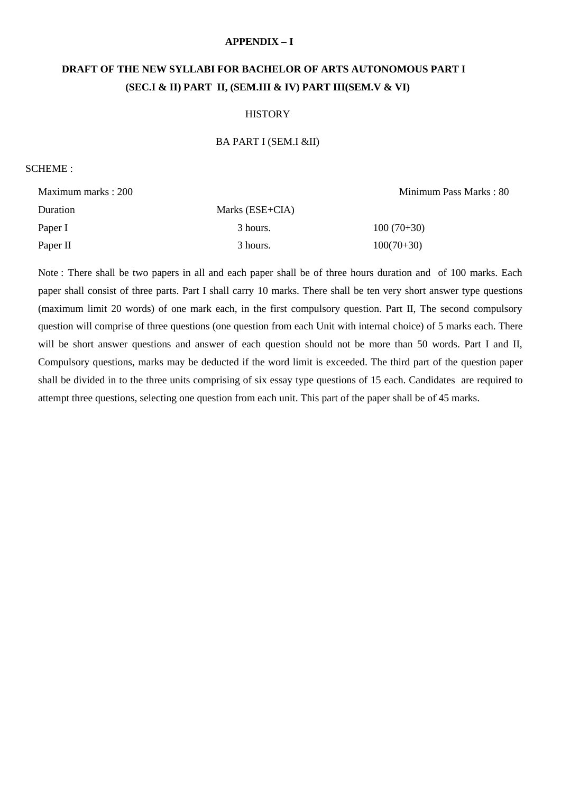#### **APPENDIX – I**

# **DRAFT OF THE NEW SYLLABI FOR BACHELOR OF ARTS AUTONOMOUS PART I (SEC.I & II) PART II, (SEM.III & IV) PART III(SEM.V & VI)**

#### **HISTORY**

#### BA PART I (SEM.I &II)

#### SCHEME :

Maximum marks : 200 Minimum Pass Marks : 80 Duration Marks (ESE+CIA) Paper I 3 hours. 100 (70+30) Paper II 3 hours. 100(70+30)

Note : There shall be two papers in all and each paper shall be of three hours duration and of 100 marks. Each paper shall consist of three parts. Part I shall carry 10 marks. There shall be ten very short answer type questions (maximum limit 20 words) of one mark each, in the first compulsory question. Part II, The second compulsory question will comprise of three questions (one question from each Unit with internal choice) of 5 marks each. There will be short answer questions and answer of each question should not be more than 50 words. Part I and II, Compulsory questions, marks may be deducted if the word limit is exceeded. The third part of the question paper shall be divided in to the three units comprising of six essay type questions of 15 each. Candidates are required to attempt three questions, selecting one question from each unit. This part of the paper shall be of 45 marks.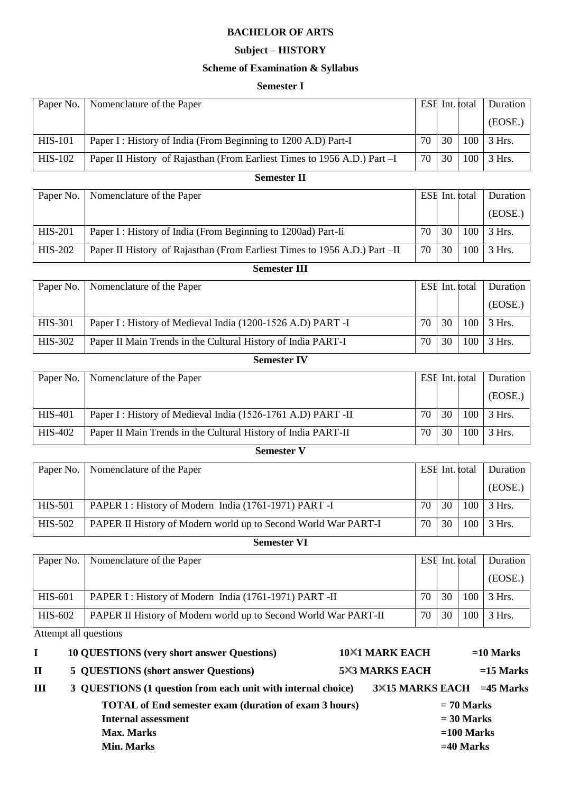# **Subject – HISTORY**

# **Scheme of Examination & Syllabus**

#### **Semester I**

|                                                                                                          | (EOSE.)  |
|----------------------------------------------------------------------------------------------------------|----------|
| 30<br>70<br>100<br><b>HIS-101</b><br>Paper I: History of India (From Beginning to 1200 A.D) Part-I       | $3$ Hrs. |
| 70<br>30<br>100<br>$HIS-102$<br>Paper II History of Rajasthan (From Earliest Times to 1956 A.D.) Part -I | 3 Hrs.   |

#### **Semester II**

|                | Paper No.   Nomenclature of the Paper                                     |    |    | ESH Int. total   | Duration |
|----------------|---------------------------------------------------------------------------|----|----|------------------|----------|
|                |                                                                           |    |    |                  | (EOSE.)  |
| <b>HIS-201</b> | Paper I: History of India (From Beginning to 1200ad) Part-Ii              | 70 | 30 | 100 <sub>1</sub> | 3 Hrs.   |
| <b>HIS-202</b> | Paper II History of Rajasthan (From Earliest Times to 1956 A.D.) Part –II | 70 | 30 | 100              | $3$ Hrs. |

## **Semester III**

| Paper No.      | Nomenclature of the Paper                                    |    | ESE Int. total |     | Duration |
|----------------|--------------------------------------------------------------|----|----------------|-----|----------|
|                |                                                              |    |                |     | (EOSE.)  |
| <b>HIS-301</b> | Paper I: History of Medieval India (1200-1526 A.D) PART -I   | 70 | 30             | 100 | 3 Hrs.   |
| HIS-302        | Paper II Main Trends in the Cultural History of India PART-I | 70 | 30             | 100 | $3$ Hrs. |

# **Semester IV**

|                | Paper No.   Nomenclature of the Paper                         |    | ESE Int. total |     | Duration          |  |
|----------------|---------------------------------------------------------------|----|----------------|-----|-------------------|--|
|                |                                                               |    |                |     | (EOSE.)           |  |
| <b>HIS-401</b> | Paper I: History of Medieval India (1526-1761 A.D) PART -II   | 70 | 30             |     | $100 \mid 3$ Hrs. |  |
| HIS-402        | Paper II Main Trends in the Cultural History of India PART-II | 70 | 30             | 100 | $3$ Hrs.          |  |

## **Semester V**

| Paper No. | Nomenclature of the Paper                                      |    |    | ESE Int. total | Duration |
|-----------|----------------------------------------------------------------|----|----|----------------|----------|
|           |                                                                |    |    |                | (EOSE.)  |
| HIS-501   | PAPER I: History of Modern India (1761-1971) PART-I            | 70 | 30 | 100            | 3 Hrs.   |
| HIS-502   | PAPER II History of Modern world up to Second World War PART-I | 70 | 30 | 100            | $3$ Hrs. |

# **Semester VI**

|         | Paper No.   Nomenclature of the Paper                           |    |    | ESE Int. total | Duration          |  |
|---------|-----------------------------------------------------------------|----|----|----------------|-------------------|--|
|         |                                                                 |    |    |                | (EOSE.)           |  |
| HIS-601 | PAPER I: History of Modern India (1761-1971) PART -II           | 70 | 30 |                | $100 \mid 3$ Hrs. |  |
| HIS-602 | PAPER II History of Modern world up to Second World War PART-II | 70 | 30 | 100            | $3$ Hrs.          |  |

Attempt all questions

| L           | <b>10 QUESTIONS</b> (very short answer Questions)            |                                  | <b>10×1 MARK EACH</b> |             | $=10$ Marks |
|-------------|--------------------------------------------------------------|----------------------------------|-----------------------|-------------|-------------|
| $\mathbf H$ | <b>5 QUESTIONS (short answer Questions)</b>                  |                                  | <b>5×3 MARKS EACH</b> |             | $=15$ Marks |
| Ш           | 3 QUESTIONS (1 question from each unit with internal choice) | $3\times15$ MARKS EACH =45 Marks |                       |             |             |
|             | <b>TOTAL</b> of End semester exam (duration of exam 3 hours) |                                  | $= 70$ Marks          |             |             |
|             | <b>Internal assessment</b>                                   |                                  | $= 30$ Marks          |             |             |
|             | <b>Max. Marks</b>                                            |                                  | $=100$ Marks          |             |             |
|             | <b>Min. Marks</b>                                            |                                  |                       | $=40$ Marks |             |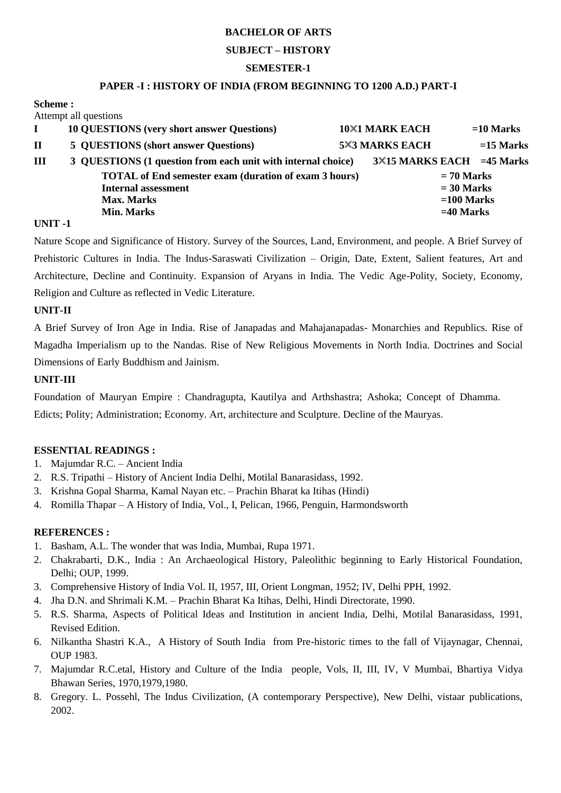## **SUBJECT – HISTORY**

## **SEMESTER-1**

#### **PAPER -I : HISTORY OF INDIA (FROM BEGINNING TO 1200 A.D.) PART-I**

#### **Scheme :**  Attempt all questions

|   | AUCHIDI AII QUESITUIIS                                       |  |                                  |  |             |  |  |  |
|---|--------------------------------------------------------------|--|----------------------------------|--|-------------|--|--|--|
|   | <b>10 QUESTIONS</b> (very short answer Questions)            |  | <b>10×1 MARK EACH</b>            |  | $=10$ Marks |  |  |  |
| П | 5 QUESTIONS (short answer Questions)                         |  | <b>5X3 MARKS EACH</b>            |  | $=15$ Marks |  |  |  |
| Ш | 3 QUESTIONS (1 question from each unit with internal choice) |  | $3\times15$ MARKS EACH =45 Marks |  |             |  |  |  |
|   | <b>TOTAL of End semester exam (duration of exam 3 hours)</b> |  | $= 70$ Marks                     |  |             |  |  |  |
|   | <b>Internal assessment</b>                                   |  | $= 30$ Marks<br>$=100$ Marks     |  |             |  |  |  |
|   | <b>Max. Marks</b>                                            |  |                                  |  |             |  |  |  |
|   | <b>Min. Marks</b>                                            |  | $=40$ Marks                      |  |             |  |  |  |
|   |                                                              |  |                                  |  |             |  |  |  |

## **UNIT -1**

Nature Scope and Significance of History. Survey of the Sources, Land, Environment, and people. A Brief Survey of Prehistoric Cultures in India. The Indus-Saraswati Civilization – Origin, Date, Extent, Salient features, Art and Architecture, Decline and Continuity. Expansion of Aryans in India. The Vedic Age-Polity, Society, Economy, Religion and Culture as reflected in Vedic Literature.

## **UNIT-II**

A Brief Survey of Iron Age in India. Rise of Janapadas and Mahajanapadas- Monarchies and Republics. Rise of Magadha Imperialism up to the Nandas. Rise of New Religious Movements in North India. Doctrines and Social Dimensions of Early Buddhism and Jainism.

## **UNIT-III**

Foundation of Mauryan Empire : Chandragupta, Kautilya and Arthshastra; Ashoka; Concept of Dhamma. Edicts; Polity; Administration; Economy. Art, architecture and Sculpture. Decline of the Mauryas.

## **ESSENTIAL READINGS :**

- 1. Majumdar R.C. Ancient India
- 2. R.S. Tripathi History of Ancient India Delhi, Motilal Banarasidass, 1992.
- 3. Krishna Gopal Sharma, Kamal Nayan etc. Prachin Bharat ka Itihas (Hindi)
- 4. Romilla Thapar A History of India, Vol., I, Pelican, 1966, Penguin, Harmondsworth

- 1. Basham, A.L. The wonder that was India, Mumbai, Rupa 1971.
- 2. Chakrabarti, D.K., India : An Archaeological History, Paleolithic beginning to Early Historical Foundation, Delhi; OUP, 1999.
- 3. Comprehensive History of India Vol. II, 1957, III, Orient Longman, 1952; IV, Delhi PPH, 1992.
- 4. Jha D.N. and Shrimali K.M. Prachin Bharat Ka Itihas, Delhi, Hindi Directorate, 1990.
- 5. R.S. Sharma, Aspects of Political Ideas and Institution in ancient India, Delhi, Motilal Banarasidass, 1991, Revised Edition.
- 6. Nilkantha Shastri K.A., A History of South India from Pre-historic times to the fall of Vijaynagar, Chennai, OUP 1983.
- 7. Majumdar R.C.etal, History and Culture of the India people, Vols, II, III, IV, V Mumbai, Bhartiya Vidya Bhawan Series, 1970,1979,1980.
- 8. Gregory. L. Possehl, The Indus Civilization, (A contemporary Perspective), New Delhi, vistaar publications, 2002.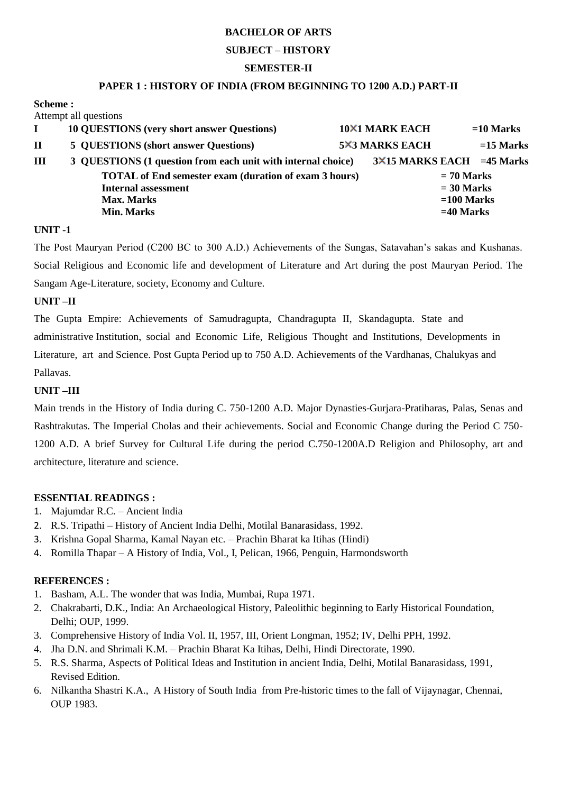## **SUBJECT – HISTORY**

## **SEMESTER-II**

## **PAPER 1 : HISTORY OF INDIA (FROM BEGINNING TO 1200 A.D.) PART-II**

#### **Scheme :**

|              | Attempt all questions                                        |                                  |                       |             |             |  |  |
|--------------|--------------------------------------------------------------|----------------------------------|-----------------------|-------------|-------------|--|--|
|              | <b>10 QUESTIONS (very short answer Questions)</b>            |                                  | <b>10×1 MARK EACH</b> |             | $=10$ Marks |  |  |
| $\mathbf{I}$ | 5 QUESTIONS (short answer Questions)                         |                                  | <b>5×3 MARKS EACH</b> |             | $=15$ Marks |  |  |
| III          | 3 QUESTIONS (1 question from each unit with internal choice) | $3\times15$ MARKS EACH =45 Marks |                       |             |             |  |  |
|              | <b>TOTAL</b> of End semester exam (duration of exam 3 hours) |                                  | $= 70$ Marks          |             |             |  |  |
|              | <b>Internal assessment</b>                                   |                                  | $= 30$ Marks          |             |             |  |  |
|              | <b>Max. Marks</b>                                            | $=100$ Marks                     |                       |             |             |  |  |
|              | <b>Min. Marks</b>                                            |                                  |                       | $=40$ Marks |             |  |  |

#### **UNIT -1**

The Post Mauryan Period (C200 BC to 300 A.D.) Achievements of the Sungas, Satavahan's sakas and Kushanas. Social Religious and Economic life and development of Literature and Art during the post Mauryan Period. The Sangam Age-Literature, society, Economy and Culture.

## **UNIT –II**

The Gupta Empire: Achievements of Samudragupta, Chandragupta II, Skandagupta. State and administrative Institution, social and Economic Life, Religious Thought and Institutions, Developments in Literature, art and Science. Post Gupta Period up to 750 A.D. Achievements of the Vardhanas, Chalukyas and Pallavas.

# **UNIT –III**

Main trends in the History of India during C. 750-1200 A.D. Major Dynasties-Gurjara-Pratiharas, Palas, Senas and Rashtrakutas. The Imperial Cholas and their achievements. Social and Economic Change during the Period C 750- 1200 A.D. A brief Survey for Cultural Life during the period C.750-1200A.D Religion and Philosophy, art and architecture, literature and science.

## **ESSENTIAL READINGS :**

- 1. Majumdar R.C. Ancient India
- 2. R.S. Tripathi History of Ancient India Delhi, Motilal Banarasidass, 1992.
- 3. Krishna Gopal Sharma, Kamal Nayan etc. Prachin Bharat ka Itihas (Hindi)
- 4. Romilla Thapar A History of India, Vol., I, Pelican, 1966, Penguin, Harmondsworth

- 1. Basham, A.L. The wonder that was India, Mumbai, Rupa 1971.
- 2. Chakrabarti, D.K., India: An Archaeological History, Paleolithic beginning to Early Historical Foundation, Delhi; OUP, 1999.
- 3. Comprehensive History of India Vol. II, 1957, III, Orient Longman, 1952; IV, Delhi PPH, 1992.
- 4. Jha D.N. and Shrimali K.M. Prachin Bharat Ka Itihas, Delhi, Hindi Directorate, 1990.
- 5. R.S. Sharma, Aspects of Political Ideas and Institution in ancient India, Delhi, Motilal Banarasidass, 1991, Revised Edition.
- 6. Nilkantha Shastri K.A., A History of South India from Pre-historic times to the fall of Vijaynagar, Chennai, OUP 1983.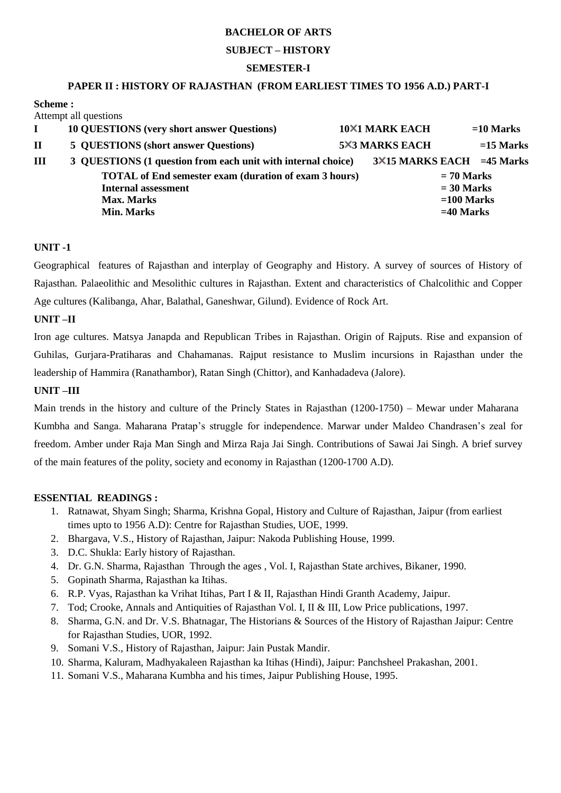#### **SUBJECT – HISTORY**

## **SEMESTER-I**

## **PAPER II : HISTORY OF RAJASTHAN (FROM EARLIEST TIMES TO 1956 A.D.) PART-I**

#### **Scheme :**  Attempt all questions

|             | AUCHIPU AII QUESTIONS                                        |  |                            |             |             |  |  |  |
|-------------|--------------------------------------------------------------|--|----------------------------|-------------|-------------|--|--|--|
|             | <b>10 QUESTIONS</b> (very short answer Questions)            |  | <b>10×1 MARK EACH</b>      |             | $=10$ Marks |  |  |  |
| $\mathbf H$ | <b>5 QUESTIONS (short answer Questions)</b>                  |  | <b>5×3 MARKS EACH</b>      |             | $=15$ Marks |  |  |  |
| III         | 3 QUESTIONS (1 question from each unit with internal choice) |  | 3×15 MARKS EACH = 45 Marks |             |             |  |  |  |
|             | <b>TOTAL of End semester exam (duration of exam 3 hours)</b> |  | $= 70$ Marks               |             |             |  |  |  |
|             | <b>Internal assessment</b>                                   |  | $= 30$ Marks               |             |             |  |  |  |
|             | <b>Max. Marks</b>                                            |  | $=100$ Marks               |             |             |  |  |  |
|             | <b>Min. Marks</b>                                            |  |                            | $=40$ Marks |             |  |  |  |
|             |                                                              |  |                            |             |             |  |  |  |

## **UNIT -1**

Geographical features of Rajasthan and interplay of Geography and History. A survey of sources of History of Rajasthan. Palaeolithic and Mesolithic cultures in Rajasthan. Extent and characteristics of Chalcolithic and Copper Age cultures (Kalibanga, Ahar, Balathal, Ganeshwar, Gilund). Evidence of Rock Art.

## **UNIT –II**

Iron age cultures. Matsya Janapda and Republican Tribes in Rajasthan. Origin of Rajputs. Rise and expansion of Guhilas, Gurjara-Pratiharas and Chahamanas. Rajput resistance to Muslim incursions in Rajasthan under the leadership of Hammira (Ranathambor), Ratan Singh (Chittor), and Kanhadadeva (Jalore).

#### **UNIT –III**

Main trends in the history and culture of the Princly States in Rajasthan (1200-1750) – Mewar under Maharana Kumbha and Sanga. Maharana Pratap's struggle for independence. Marwar under Maldeo Chandrasen's zeal for freedom. Amber under Raja Man Singh and Mirza Raja Jai Singh. Contributions of Sawai Jai Singh. A brief survey of the main features of the polity, society and economy in Rajasthan (1200-1700 A.D).

#### **ESSENTIAL READINGS :**

- 1. Ratnawat, Shyam Singh; Sharma, Krishna Gopal, History and Culture of Rajasthan, Jaipur (from earliest times upto to 1956 A.D): Centre for Rajasthan Studies, UOE, 1999.
- 2. Bhargava, V.S., History of Rajasthan, Jaipur: Nakoda Publishing House, 1999.
- 3. D.C. Shukla: Early history of Rajasthan.
- 4. Dr. G.N. Sharma, Rajasthan Through the ages , Vol. I, Rajasthan State archives, Bikaner, 1990.
- 5. Gopinath Sharma, Rajasthan ka Itihas.
- 6. R.P. Vyas, Rajasthan ka Vrihat Itihas, Part I & II, Rajasthan Hindi Granth Academy, Jaipur.
- 7. Tod; Crooke, Annals and Antiquities of Rajasthan Vol. I, II & III, Low Price publications, 1997.
- 8. Sharma, G.N. and Dr. V.S. Bhatnagar, The Historians & Sources of the History of Rajasthan Jaipur: Centre for Rajasthan Studies, UOR, 1992.
- 9. Somani V.S., History of Rajasthan, Jaipur: Jain Pustak Mandir.
- 10. Sharma, Kaluram, Madhyakaleen Rajasthan ka Itihas (Hindi), Jaipur: Panchsheel Prakashan, 2001.
- 11. Somani V.S., Maharana Kumbha and his times, Jaipur Publishing House, 1995.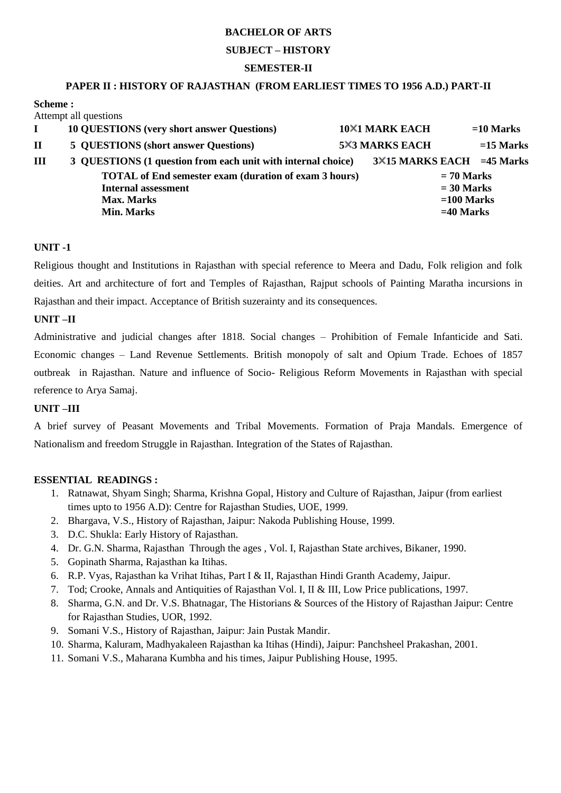#### **SUBJECT – HISTORY**

#### **SEMESTER-II**

#### **PAPER II : HISTORY OF RAJASTHAN (FROM EARLIEST TIMES TO 1956 A.D.) PART-II**

#### **Scheme :**  Attempt all questions

|             | AUCHIPU AII QUESTIONS                                        |  |                            |             |             |  |  |  |
|-------------|--------------------------------------------------------------|--|----------------------------|-------------|-------------|--|--|--|
|             | <b>10 QUESTIONS</b> (very short answer Questions)            |  | <b>10×1 MARK EACH</b>      |             | $=10$ Marks |  |  |  |
| $\mathbf H$ | <b>5 QUESTIONS (short answer Questions)</b>                  |  | <b>5X3 MARKS EACH</b>      |             | $=15$ Marks |  |  |  |
| III         | 3 QUESTIONS (1 question from each unit with internal choice) |  | 3×15 MARKS EACH = 45 Marks |             |             |  |  |  |
|             | <b>TOTAL</b> of End semester exam (duration of exam 3 hours) |  | $= 70$ Marks               |             |             |  |  |  |
|             | <b>Internal assessment</b>                                   |  | $= 30$ Marks               |             |             |  |  |  |
|             | <b>Max. Marks</b>                                            |  | $=100$ Marks               |             |             |  |  |  |
|             | <b>Min. Marks</b>                                            |  |                            | $=40$ Marks |             |  |  |  |
|             |                                                              |  |                            |             |             |  |  |  |

## **UNIT -1**

Religious thought and Institutions in Rajasthan with special reference to Meera and Dadu, Folk religion and folk deities. Art and architecture of fort and Temples of Rajasthan, Rajput schools of Painting Maratha incursions in Rajasthan and their impact. Acceptance of British suzerainty and its consequences.

## **UNIT –II**

Administrative and judicial changes after 1818. Social changes – Prohibition of Female Infanticide and Sati. Economic changes – Land Revenue Settlements. British monopoly of salt and Opium Trade. Echoes of 1857 outbreak in Rajasthan. Nature and influence of Socio- Religious Reform Movements in Rajasthan with special reference to Arya Samaj.

#### **UNIT –III**

A brief survey of Peasant Movements and Tribal Movements. Formation of Praja Mandals. Emergence of Nationalism and freedom Struggle in Rajasthan. Integration of the States of Rajasthan.

## **ESSENTIAL READINGS :**

- 1. Ratnawat, Shyam Singh; Sharma, Krishna Gopal, History and Culture of Rajasthan, Jaipur (from earliest times upto to 1956 A.D): Centre for Rajasthan Studies, UOE, 1999.
- 2. Bhargava, V.S., History of Rajasthan, Jaipur: Nakoda Publishing House, 1999.
- 3. D.C. Shukla: Early History of Rajasthan.
- 4. Dr. G.N. Sharma, Rajasthan Through the ages , Vol. I, Rajasthan State archives, Bikaner, 1990.
- 5. Gopinath Sharma, Rajasthan ka Itihas.
- 6. R.P. Vyas, Rajasthan ka Vrihat Itihas, Part I & II, Rajasthan Hindi Granth Academy, Jaipur.
- 7. Tod; Crooke, Annals and Antiquities of Rajasthan Vol. I, II & III, Low Price publications, 1997.
- 8. Sharma, G.N. and Dr. V.S. Bhatnagar, The Historians & Sources of the History of Rajasthan Jaipur: Centre for Rajasthan Studies, UOR, 1992.
- 9. Somani V.S., History of Rajasthan, Jaipur: Jain Pustak Mandir.
- 10. Sharma, Kaluram, Madhyakaleen Rajasthan ka Itihas (Hindi), Jaipur: Panchsheel Prakashan, 2001.
- 11. Somani V.S., Maharana Kumbha and his times, Jaipur Publishing House, 1995.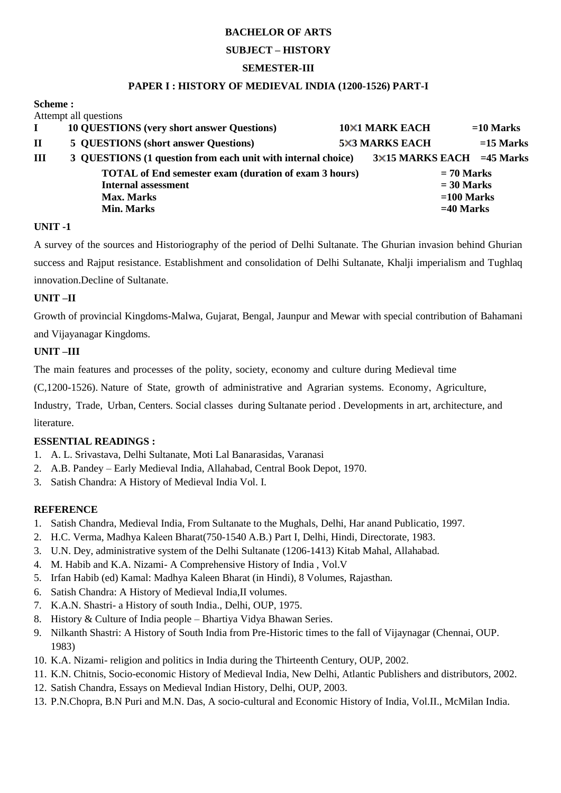#### **SUBJECT – HISTORY**

#### **SEMESTER-III**

#### **PAPER I : HISTORY OF MEDIEVAL INDIA (1200-1526) PART-I**

#### **Scheme :**

| <b>TOTAL of End semester exam (duration of exam 3 hours)</b> |  |  |  |                       |  |                   |  |              |                                      |                                                   |  |                                                              |  |  |  |                                                |  |                                             |                                                         |
|--------------------------------------------------------------|--|--|--|-----------------------|--|-------------------|--|--------------|--------------------------------------|---------------------------------------------------|--|--------------------------------------------------------------|--|--|--|------------------------------------------------|--|---------------------------------------------|---------------------------------------------------------|
| <b>Internal assessment</b>                                   |  |  |  |                       |  |                   |  |              |                                      |                                                   |  |                                                              |  |  |  |                                                |  |                                             |                                                         |
| <b>Max. Marks</b>                                            |  |  |  |                       |  |                   |  | $=100$ Marks |                                      |                                                   |  |                                                              |  |  |  |                                                |  |                                             |                                                         |
|                                                              |  |  |  |                       |  |                   |  |              |                                      |                                                   |  |                                                              |  |  |  |                                                |  |                                             |                                                         |
|                                                              |  |  |  | Attempt all questions |  | <b>Min. Marks</b> |  |              | 5 QUESTIONS (short answer Questions) | <b>10 QUESTIONS</b> (very short answer Questions) |  | 3 QUESTIONS (1 question from each unit with internal choice) |  |  |  | <b>10×1 MARK EACH</b><br><b>5×3 MARKS EACH</b> |  | $= 70$ Marks<br>$= 30$ Marks<br>$=40$ Marks | $=10$ Marks<br>$=15$ Marks<br>3×15 MARKS EACH =45 Marks |

## **UNIT -1**

A survey of the sources and Historiography of the period of Delhi Sultanate. The Ghurian invasion behind Ghurian success and Rajput resistance. Establishment and consolidation of Delhi Sultanate, Khalji imperialism and Tughlaq innovation.Decline of Sultanate.

## **UNIT –II**

Growth of provincial Kingdoms-Malwa, Gujarat, Bengal, Jaunpur and Mewar with special contribution of Bahamani

and Vijayanagar Kingdoms.

## **UNIT –III**

The main features and processes of the polity, society, economy and culture during Medieval time

(C,1200-1526). Nature of State, growth of administrative and Agrarian systems. Economy, Agriculture,

Industry, Trade, Urban, Centers. Social classes during Sultanate period . Developments in art, architecture, and literature.

## **ESSENTIAL READINGS :**

- 1. A. L. Srivastava, Delhi Sultanate, Moti Lal Banarasidas, Varanasi
- 2. A.B. Pandey Early Medieval India, Allahabad, Central Book Depot, 1970.
- 3. Satish Chandra: A History of Medieval India Vol. I.

## **REFERENCE**

- 1. Satish Chandra, Medieval India, From Sultanate to the Mughals, Delhi, Har anand Publicatio, 1997.
- 2. H.C. Verma, Madhya Kaleen Bharat(750-1540 A.B.) Part I, Delhi, Hindi, Directorate, 1983.
- 3. U.N. Dey, administrative system of the Delhi Sultanate (1206-1413) Kitab Mahal, Allahabad.
- 4. M. Habib and K.A. Nizami- A Comprehensive History of India , Vol.V
- 5. Irfan Habib (ed) Kamal: Madhya Kaleen Bharat (in Hindi), 8 Volumes, Rajasthan.
- 6. Satish Chandra: A History of Medieval India,II volumes.
- 7. K.A.N. Shastri- a History of south India., Delhi, OUP, 1975.
- 8. History & Culture of India people Bhartiya Vidya Bhawan Series.
- 9. Nilkanth Shastri: A History of South India from Pre-Historic times to the fall of Vijaynagar (Chennai, OUP. 1983)
- 10. K.A. Nizami- religion and politics in India during the Thirteenth Century, OUP, 2002.
- 11. K.N. Chitnis, Socio-economic History of Medieval India, New Delhi, Atlantic Publishers and distributors, 2002.
- 12. Satish Chandra, Essays on Medieval Indian History, Delhi, OUP, 2003.
- 13. P.N.Chopra, B.N Puri and M.N. Das, A socio-cultural and Economic History of India, Vol.II., McMilan India.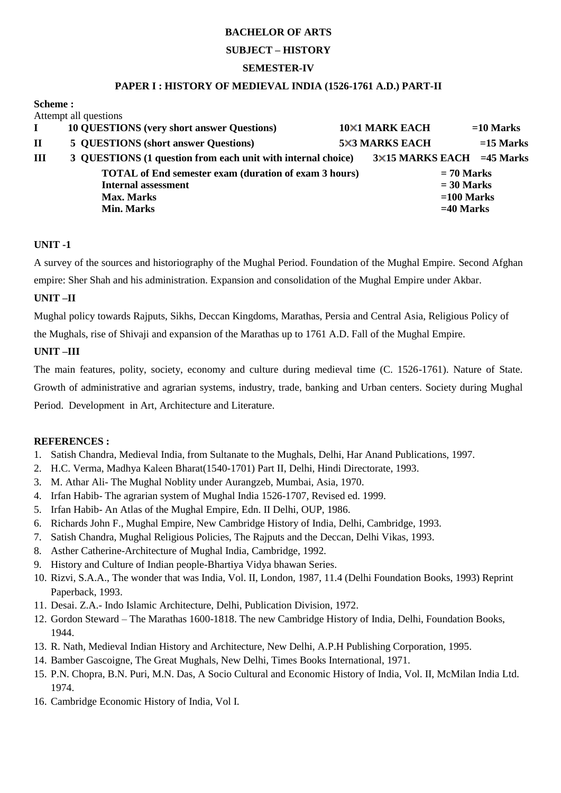## **SUBJECT – HISTORY**

## **SEMESTER-IV**

#### **PAPER I : HISTORY OF MEDIEVAL INDIA (1526-1761 A.D.) PART-II**

|                   |  | Attempt all questions                                        |              |                                   |              |             |
|-------------------|--|--------------------------------------------------------------|--------------|-----------------------------------|--------------|-------------|
|                   |  | <b>10 QUESTIONS</b> (very short answer Questions)            |              | <b>10×1 MARK EACH</b>             |              | $=10$ Marks |
| $\mathbf{I}$      |  | <b>5 QUESTIONS (short answer Questions)</b>                  |              | <b>5×3 MARKS EACH</b>             |              | $=15$ Marks |
| Ш                 |  | 3 QUESTIONS (1 question from each unit with internal choice) |              | $3\times15$ MARKS EACH = 45 Marks |              |             |
|                   |  | <b>TOTAL</b> of End semester exam (duration of exam 3 hours) |              |                                   | $= 70$ Marks |             |
|                   |  | <b>Internal assessment</b>                                   |              |                                   | $= 30$ Marks |             |
| <b>Max. Marks</b> |  |                                                              | $=100$ Marks |                                   |              |             |
|                   |  | <b>Min. Marks</b>                                            |              |                                   | $=40$ Marks  |             |
|                   |  |                                                              |              |                                   |              |             |

## **UNIT -1**

A survey of the sources and historiography of the Mughal Period. Foundation of the Mughal Empire. Second Afghan empire: Sher Shah and his administration. Expansion and consolidation of the Mughal Empire under Akbar.

## **UNIT –II**

Mughal policy towards Rajputs, Sikhs, Deccan Kingdoms, Marathas, Persia and Central Asia, Religious Policy of

the Mughals, rise of Shivaji and expansion of the Marathas up to 1761 A.D. Fall of the Mughal Empire.

## **UNIT –III**

The main features, polity, society, economy and culture during medieval time (C. 1526-1761). Nature of State. Growth of administrative and agrarian systems, industry, trade, banking and Urban centers. Society during Mughal Period. Development in Art, Architecture and Literature.

- 1. Satish Chandra, Medieval India, from Sultanate to the Mughals, Delhi, Har Anand Publications, 1997.
- 2. H.C. Verma, Madhya Kaleen Bharat(1540-1701) Part II, Delhi, Hindi Directorate, 1993.
- 3. M. Athar Ali- The Mughal Noblity under Aurangzeb, Mumbai, Asia, 1970.
- 4. Irfan Habib- The agrarian system of Mughal India 1526-1707, Revised ed. 1999.
- 5. Irfan Habib- An Atlas of the Mughal Empire, Edn. II Delhi, OUP, 1986.
- 6. Richards John F., Mughal Empire, New Cambridge History of India, Delhi, Cambridge, 1993.
- 7. Satish Chandra, Mughal Religious Policies, The Rajputs and the Deccan, Delhi Vikas, 1993.
- 8. Asther Catherine-Architecture of Mughal India, Cambridge, 1992.
- 9. History and Culture of Indian people-Bhartiya Vidya bhawan Series.
- 10. Rizvi, S.A.A., The wonder that was India, Vol. II, London, 1987, 11.4 (Delhi Foundation Books, 1993) Reprint Paperback, 1993.
- 11. Desai. Z.A.- Indo Islamic Architecture, Delhi, Publication Division, 1972.
- 12. Gordon Steward The Marathas 1600-1818. The new Cambridge History of India, Delhi, Foundation Books, 1944.
- 13. R. Nath, Medieval Indian History and Architecture, New Delhi, A.P.H Publishing Corporation, 1995.
- 14. Bamber Gascoigne, The Great Mughals, New Delhi, Times Books International, 1971.
- 15. P.N. Chopra, B.N. Puri, M.N. Das, A Socio Cultural and Economic History of India, Vol. II, McMilan India Ltd. 1974.
- 16. Cambridge Economic History of India, Vol I.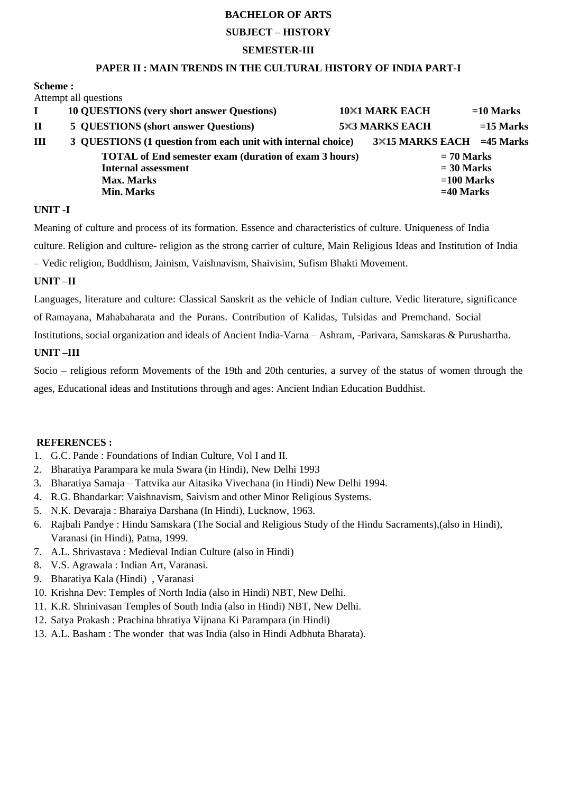#### **SUBJECT – HISTORY**

#### **SEMESTER-III**

#### **PAPER II : MAIN TRENDS IN THE CULTURAL HISTORY OF INDIA PART-I**

**Scheme :** 

Attempt all questions

|              | <b>10 QUESTIONS</b> (very short answer Questions)            | <b>10×1 MARK EACH</b>            |              | $=10$ Marks |
|--------------|--------------------------------------------------------------|----------------------------------|--------------|-------------|
| $\mathbf{I}$ | 5 QUESTIONS (short answer Questions)                         | <b>5×3 MARKS EACH</b>            |              | $=15$ Marks |
| III          | 3 QUESTIONS (1 question from each unit with internal choice) | $3\times15$ MARKS EACH =45 Marks |              |             |
|              | <b>TOTAL</b> of End semester exam (duration of exam 3 hours) |                                  | $= 70$ Marks |             |
|              | <b>Internal assessment</b>                                   |                                  | $= 30$ Marks |             |
|              | <b>Max. Marks</b>                                            |                                  | $=100$ Marks |             |
|              | Min. Marks                                                   |                                  | $=40$ Marks  |             |
|              |                                                              |                                  |              |             |

#### **UNIT -I**

Meaning of culture and process of its formation. Essence and characteristics of culture. Uniqueness of India culture. Religion and culture- religion as the strong carrier of culture, Main Religious Ideas and Institution of India – Vedic religion, Buddhism, Jainism, Vaishnavism, Shaivisim, Sufism Bhakti Movement.

#### **UNIT –II**

Languages, literature and culture: Classical Sanskrit as the vehicle of Indian culture. Vedic literature, significance of Ramayana, Mahabaharata and the Purans. Contribution of Kalidas, Tulsidas and Premchand. Social Institutions, social organization and ideals of Ancient India-Varna – Ashram, -Parivara, Samskaras & Purushartha.

#### **UNIT –III**

Socio – religious reform Movements of the 19th and 20th centuries, a survey of the status of women through the ages, Educational ideas and Institutions through and ages: Ancient Indian Education Buddhist.

- 1. G.C. Pande : Foundations of Indian Culture, Vol I and II.
- 2. Bharatiya Parampara ke mula Swara (in Hindi), New Delhi 1993
- 3. Bharatiya Samaja Tattvika aur Aitasika Vivechana (in Hindi) New Delhi 1994.
- 4. R.G. Bhandarkar: Vaishnavism, Saivism and other Minor Religious Systems.
- 5. N.K. Devaraja : Bharaiya Darshana (In Hindi), Lucknow, 1963.
- 6. Rajbali Pandye : Hindu Samskara (The Social and Religious Study of the Hindu Sacraments),(also in Hindi), Varanasi (in Hindi), Patna, 1999.
- 7. A.L. Shrivastava : Medieval Indian Culture (also in Hindi)
- 8. V.S. Agrawala : Indian Art, Varanasi.
- 9. Bharatiya Kala (Hindi) , Varanasi
- 10. Krishna Dev: Temples of North India (also in Hindi) NBT, New Delhi.
- 11. K.R. Shrinivasan Temples of South India (also in Hindi) NBT, New Delhi.
- 12. Satya Prakash : Prachina bhratiya Vijnana Ki Parampara (in Hindi)
- 13. A.L. Basham : The wonder that was India (also in Hindi Adbhuta Bharata).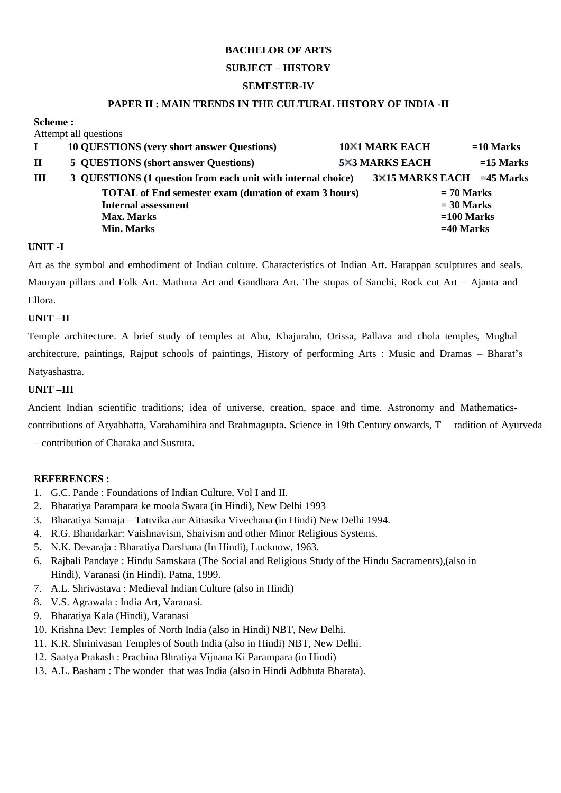#### **SUBJECT – HISTORY**

## **SEMESTER-IV**

#### **PAPER II : MAIN TRENDS IN THE CULTURAL HISTORY OF INDIA -II**

**Scheme :**  A ttempt all questions

|   | Attempt all questions                                        |                       |                                  |
|---|--------------------------------------------------------------|-----------------------|----------------------------------|
|   | <b>10 QUESTIONS</b> (very short answer Questions)            | <b>10×1 MARK EACH</b> | $=10$ Marks                      |
| П | 5 QUESTIONS (short answer Questions)                         | <b>5×3 MARKS EACH</b> | $=15$ Marks                      |
| Ш | 3 QUESTIONS (1 question from each unit with internal choice) |                       | $3\times15$ MARKS EACH =45 Marks |
|   | <b>TOTAL</b> of End semester exam (duration of exam 3 hours) |                       | $= 70$ Marks                     |
|   | <b>Internal assessment</b>                                   |                       | $= 30$ Marks                     |
|   | <b>Max. Marks</b>                                            |                       | $=100$ Marks                     |
|   | <b>Min. Marks</b>                                            |                       | $=40$ Marks                      |
|   |                                                              |                       |                                  |

#### **UNIT -I**

Art as the symbol and embodiment of Indian culture. Characteristics of Indian Art. Harappan sculptures and seals. Mauryan pillars and Folk Art. Mathura Art and Gandhara Art. The stupas of Sanchi, Rock cut Art – Ajanta and Ellora.

#### **UNIT –II**

Temple architecture. A brief study of temples at Abu, Khajuraho, Orissa, Pallava and chola temples, Mughal architecture, paintings, Rajput schools of paintings, History of performing Arts : Music and Dramas – Bharat's Natyashastra.

## **UNIT –III**

Ancient Indian scientific traditions; idea of universe, creation, space and time. Astronomy and Mathematics-

contributions of Aryabhatta, Varahamihira and Brahmagupta. Science in 19th Century onwards, T radition of Ayurveda – contribution of Charaka and Susruta.

- 1. G.C. Pande : Foundations of Indian Culture, Vol I and II.
- 2. Bharatiya Parampara ke moola Swara (in Hindi), New Delhi 1993
- 3. Bharatiya Samaja Tattvika aur Aitiasika Vivechana (in Hindi) New Delhi 1994.
- 4. R.G. Bhandarkar: Vaishnavism, Shaivism and other Minor Religious Systems.
- 5. N.K. Devaraja : Bharatiya Darshana (In Hindi), Lucknow, 1963.
- 6. Rajbali Pandaye : Hindu Samskara (The Social and Religious Study of the Hindu Sacraments),(also in Hindi), Varanasi (in Hindi), Patna, 1999.
- 7. A.L. Shrivastava : Medieval Indian Culture (also in Hindi)
- 8. V.S. Agrawala : India Art, Varanasi.
- 9. Bharatiya Kala (Hindi), Varanasi
- 10. Krishna Dev: Temples of North India (also in Hindi) NBT, New Delhi.
- 11. K.R. Shrinivasan Temples of South India (also in Hindi) NBT, New Delhi.
- 12. Saatya Prakash : Prachina Bhratiya Vijnana Ki Parampara (in Hindi)
- 13. A.L. Basham : The wonder that was India (also in Hindi Adbhuta Bharata).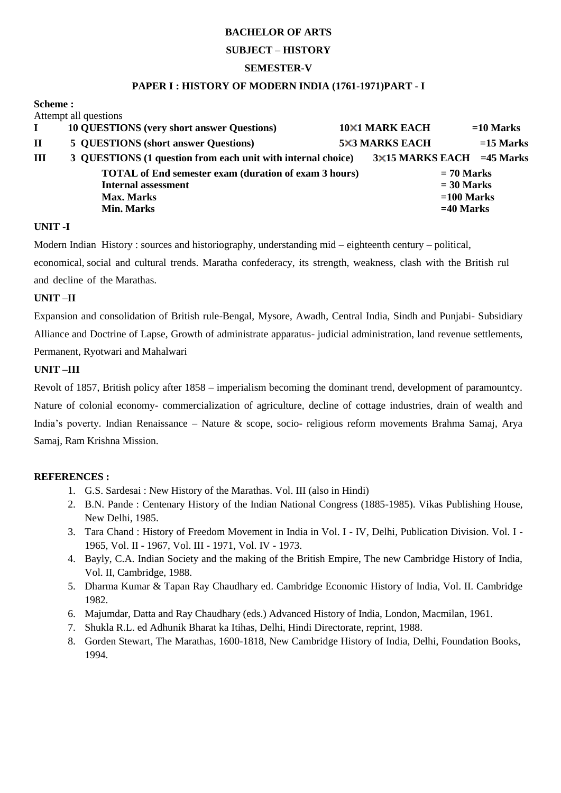## **SUBJECT – HISTORY**

## **SEMESTER-V**

#### **PAPER I : HISTORY OF MODERN INDIA (1761-1971)PART - I**

| <b>Scheme :</b> |  |
|-----------------|--|
|                 |  |

|                            |  | Attempt all questions                                        |  |                       |  |              |                                  |
|----------------------------|--|--------------------------------------------------------------|--|-----------------------|--|--------------|----------------------------------|
|                            |  | <b>10 QUESTIONS</b> (very short answer Questions)            |  | <b>10×1 MARK EACH</b> |  |              | $=10$ Marks                      |
| $\mathbf{I}$               |  | 5 QUESTIONS (short answer Questions)                         |  | <b>5×3 MARKS EACH</b> |  |              | $=15$ Marks                      |
| Ш                          |  | 3 QUESTIONS (1 question from each unit with internal choice) |  |                       |  |              | $3\times15$ MARKS EACH =45 Marks |
|                            |  | <b>TOTAL</b> of End semester exam (duration of exam 3 hours) |  |                       |  | $= 70$ Marks |                                  |
| <b>Internal assessment</b> |  |                                                              |  | $= 30$ Marks          |  |              |                                  |
|                            |  | <b>Max. Marks</b>                                            |  |                       |  | $=100$ Marks |                                  |
|                            |  | <b>Min. Marks</b>                                            |  |                       |  | $=40$ Marks  |                                  |
|                            |  |                                                              |  |                       |  |              |                                  |

## **UNIT -I**

Modern Indian History : sources and historiography, understanding mid – eighteenth century – political,

economical, social and cultural trends. Maratha confederacy, its strength, weakness, clash with the British rul and decline of the Marathas.

## **UNIT –II**

Expansion and consolidation of British rule-Bengal, Mysore, Awadh, Central India, Sindh and Punjabi- Subsidiary Alliance and Doctrine of Lapse, Growth of administrate apparatus- judicial administration, land revenue settlements, Permanent, Ryotwari and Mahalwari

## **UNIT –III**

Revolt of 1857, British policy after 1858 – imperialism becoming the dominant trend, development of paramountcy. Nature of colonial economy- commercialization of agriculture, decline of cottage industries, drain of wealth and India's poverty. Indian Renaissance – Nature & scope, socio- religious reform movements Brahma Samaj, Arya Samaj, Ram Krishna Mission.

- 1. G.S. Sardesai : New History of the Marathas. Vol. III (also in Hindi)
- 2. B.N. Pande : Centenary History of the Indian National Congress (1885-1985). Vikas Publishing House, New Delhi, 1985.
- 3. Tara Chand : History of Freedom Movement in India in Vol. I IV, Delhi, Publication Division. Vol. I 1965, Vol. II - 1967, Vol. III - 1971, Vol. IV - 1973.
- 4. Bayly, C.A. Indian Society and the making of the British Empire, The new Cambridge History of India, Vol. II, Cambridge, 1988.
- 5. Dharma Kumar & Tapan Ray Chaudhary ed. Cambridge Economic History of India, Vol. II. Cambridge 1982.
- 6. Majumdar, Datta and Ray Chaudhary (eds.) Advanced History of India, London, Macmilan, 1961.
- 7. Shukla R.L. ed Adhunik Bharat ka Itihas, Delhi, Hindi Directorate, reprint, 1988.
- 8. Gorden Stewart, The Marathas, 1600-1818, New Cambridge History of India, Delhi, Foundation Books, 1994.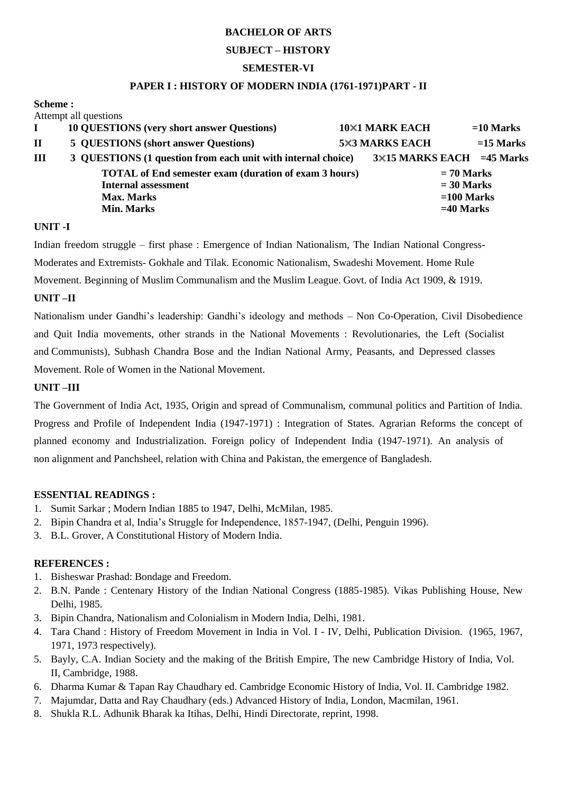#### **SUBJECT – HISTORY**

#### **SEMESTER-VI**

#### **PAPER I : HISTORY OF MODERN INDIA (1761-1971)PART - II**

| Scheme:     |                                                              |                       |                            |              |             |  |
|-------------|--------------------------------------------------------------|-----------------------|----------------------------|--------------|-------------|--|
|             | Attempt all questions                                        |                       |                            |              |             |  |
|             | <b>10 QUESTIONS</b> (very short answer Questions)            | <b>10×1 MARK EACH</b> |                            |              | $=10$ Marks |  |
| $\mathbf H$ | 5 QUESTIONS (short answer Questions)                         | <b>5×3 MARKS EACH</b> |                            |              | $=15$ Marks |  |
| Ш           | 3 QUESTIONS (1 question from each unit with internal choice) |                       | 3×15 MARKS EACH = 45 Marks |              |             |  |
|             | <b>TOTAL</b> of End semester exam (duration of exam 3 hours) |                       |                            | $= 70$ Marks |             |  |
|             | <b>Internal assessment</b>                                   |                       |                            | $= 30$ Marks |             |  |
|             | <b>Max. Marks</b>                                            |                       |                            | $=100$ Marks |             |  |
|             | <b>Min. Marks</b>                                            |                       |                            | $=40$ Marks  |             |  |
|             |                                                              |                       |                            |              |             |  |

#### **UNIT -I**

Indian freedom struggle – first phase : Emergence of Indian Nationalism, The Indian National Congress-Moderates and Extremists- Gokhale and Tilak. Economic Nationalism, Swadeshi Movement. Home Rule Movement. Beginning of Muslim Communalism and the Muslim League. Govt. of India Act 1909, & 1919.

#### **UNIT –II**

Nationalism under Gandhi's leadership: Gandhi's ideology and methods – Non Co-Operation, Civil Disobedience and Quit India movements, other strands in the National Movements : Revolutionaries, the Left (Socialist and Communists), Subhash Chandra Bose and the Indian National Army, Peasants, and Depressed classes Movement. Role of Women in the National Movement.

#### **UNIT –III**

The Government of India Act, 1935, Origin and spread of Communalism, communal politics and Partition of India. Progress and Profile of Independent India (1947-1971) : Integration of States. Agrarian Reforms the concept of planned economy and Industrialization. Foreign policy of Independent India (1947-1971). An analysis of non alignment and Panchsheel, relation with China and Pakistan, the emergence of Bangladesh.

#### **ESSENTIAL READINGS :**

- 1. Sumit Sarkar ; Modern Indian 1885 to 1947, Delhi, McMilan, 1985.
- 2. Bipin Chandra et al, India's Struggle for Independence, 1857-1947, (Delhi, Penguin 1996).
- 3. B.L. Grover, A Constitutional History of Modern India.

- 1. Bisheswar Prashad: Bondage and Freedom.
- 2. B.N. Pande : Centenary History of the Indian National Congress (1885-1985). Vikas Publishing House, New Delhi, 1985.
- 3. Bipin Chandra, Nationalism and Colonialism in Modern India, Delhi, 1981.
- 4. Tara Chand : History of Freedom Movement in India in Vol. I IV, Delhi, Publication Division. (1965, 1967, 1971, 1973 respectively).
- 5. Bayly, C.A. Indian Society and the making of the British Empire, The new Cambridge History of India, Vol. II, Cambridge, 1988.
- 6. Dharma Kumar & Tapan Ray Chaudhary ed. Cambridge Economic History of India, Vol. II. Cambridge 1982.
- 7. Majumdar, Datta and Ray Chaudhary (eds.) Advanced History of India, London, Macmilan, 1961.
- 8. Shukla R.L. Adhunik Bharak ka Itihas, Delhi, Hindi Directorate, reprint, 1998.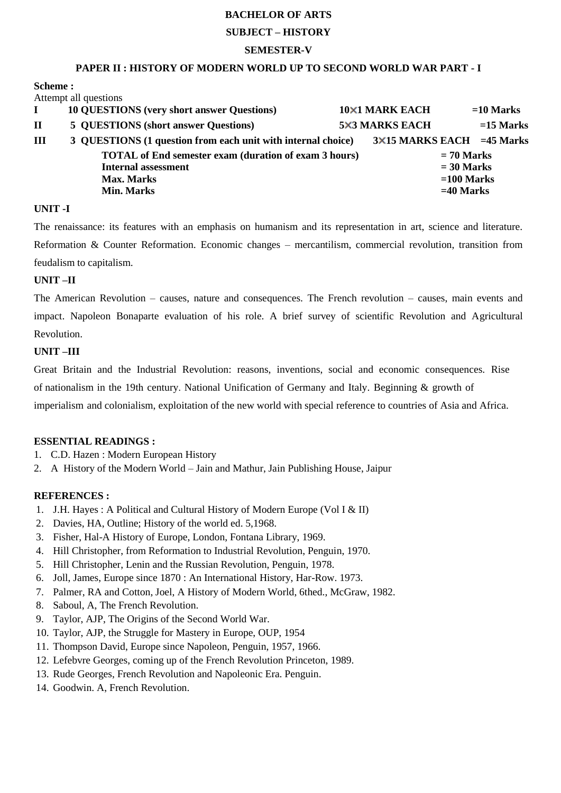#### **SUBJECT – HISTORY**

#### **SEMESTER-V**

#### **PAPER II : HISTORY OF MODERN WORLD UP TO SECOND WORLD WAR PART - I**

**Scheme :** 

Attempt all questions

|             | <b>10 QUESTIONS</b> (very short answer Questions)            | <b>10×1 MARK EACH</b>            |              | $=10$ Marks |
|-------------|--------------------------------------------------------------|----------------------------------|--------------|-------------|
| $\mathbf H$ | 5 QUESTIONS (short answer Questions)                         | <b>5×3 MARKS EACH</b>            |              | $=15$ Marks |
| Ш           | 3 QUESTIONS (1 question from each unit with internal choice) | $3\times15$ MARKS EACH =45 Marks |              |             |
|             | <b>TOTAL of End semester exam (duration of exam 3 hours)</b> |                                  | $= 70$ Marks |             |
|             | <b>Internal assessment</b>                                   |                                  | $= 30$ Marks |             |
|             | <b>Max. Marks</b>                                            |                                  | $=100$ Marks |             |
|             | <b>Min. Marks</b>                                            |                                  | $=40$ Marks  |             |
|             |                                                              |                                  |              |             |

#### **UNIT -I**

The renaissance: its features with an emphasis on humanism and its representation in art, science and literature. Reformation & Counter Reformation. Economic changes – mercantilism, commercial revolution, transition from feudalism to capitalism.

#### **UNIT –II**

The American Revolution – causes, nature and consequences. The French revolution – causes, main events and impact. Napoleon Bonaparte evaluation of his role. A brief survey of scientific Revolution and Agricultural Revolution.

#### **UNIT –III**

Great Britain and the Industrial Revolution: reasons, inventions, social and economic consequences. Rise of nationalism in the 19th century. National Unification of Germany and Italy. Beginning & growth of imperialism and colonialism, exploitation of the new world with special reference to countries of Asia and Africa.

#### **ESSENTIAL READINGS :**

- 1. C.D. Hazen : Modern European History
- 2. A History of the Modern World Jain and Mathur, Jain Publishing House, Jaipur

- 1. J.H. Hayes : A Political and Cultural History of Modern Europe (Vol I & II)
- 2. Davies, HA, Outline; History of the world ed. 5,1968.
- 3. Fisher, Hal-A History of Europe, London, Fontana Library, 1969.
- 4. Hill Christopher, from Reformation to Industrial Revolution, Penguin, 1970.
- 5. Hill Christopher, Lenin and the Russian Revolution, Penguin, 1978.
- 6. Joll, James, Europe since 1870 : An International History, Har-Row. 1973.
- 7. Palmer, RA and Cotton, Joel, A History of Modern World, 6thed., McGraw, 1982.
- 8. Saboul, A, The French Revolution.
- 9. Taylor, AJP, The Origins of the Second World War.
- 10. Taylor, AJP, the Struggle for Mastery in Europe, OUP, 1954
- 11. Thompson David, Europe since Napoleon, Penguin, 1957, 1966.
- 12. Lefebvre Georges, coming up of the French Revolution Princeton, 1989.
- 13. Rude Georges, French Revolution and Napoleonic Era. Penguin.
- 14. Goodwin. A, French Revolution.